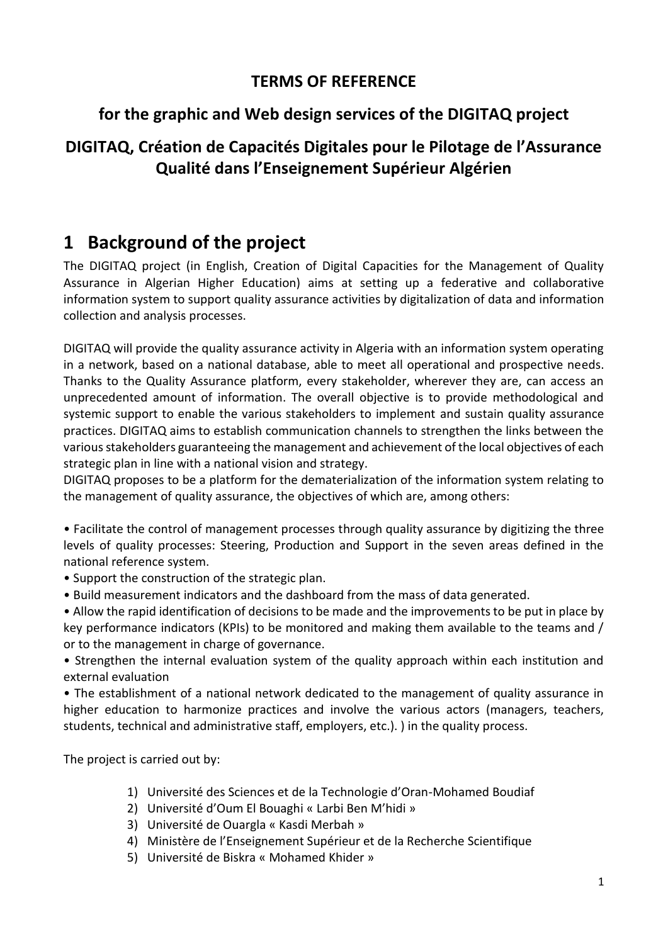## **for the graphic and Web design services of the DIGITAQ project**

## **DIGITAQ, Création de Capacités Digitales pour le Pilotage de l'Assurance Qualité dans l'Enseignement Supérieur Algérien**

# **1 Background of the project**

The DIGITAQ project (in English, Creation of Digital Capacities for the Management of Quality Assurance in Algerian Higher Education) aims at setting up a federative and collaborative information system to support quality assurance activities by digitalization of data and information collection and analysis processes.

DIGITAQ will provide the quality assurance activity in Algeria with an information system operating in a network, based on a national database, able to meet all operational and prospective needs. Thanks to the Quality Assurance platform, every stakeholder, wherever they are, can access an unprecedented amount of information. The overall objective is to provide methodological and systemic support to enable the various stakeholders to implement and sustain quality assurance practices. DIGITAQ aims to establish communication channels to strengthen the links between the various stakeholders guaranteeing the management and achievement of the local objectives of each strategic plan in line with a national vision and strategy.

DIGITAQ proposes to be a platform for the dematerialization of the information system relating to the management of quality assurance, the objectives of which are, among others:

• Facilitate the control of management processes through quality assurance by digitizing the three levels of quality processes: Steering, Production and Support in the seven areas defined in the national reference system.

- Support the construction of the strategic plan.
- Build measurement indicators and the dashboard from the mass of data generated.

• Allow the rapid identification of decisions to be made and the improvements to be put in place by key performance indicators (KPIs) to be monitored and making them available to the teams and / or to the management in charge of governance.

• Strengthen the internal evaluation system of the quality approach within each institution and external evaluation

• The establishment of a national network dedicated to the management of quality assurance in higher education to harmonize practices and involve the various actors (managers, teachers, students, technical and administrative staff, employers, etc.). ) in the quality process.

The project is carried out by:

- 1) Université des Sciences et de la Technologie d'Oran-Mohamed Boudiaf
- 2) Université d'Oum El Bouaghi « Larbi Ben M'hidi »
- 3) Université de Ouargla « Kasdi Merbah »
- 4) Ministère de l'Enseignement Supérieur et de la Recherche Scientifique
- 5) Université de Biskra « Mohamed Khider »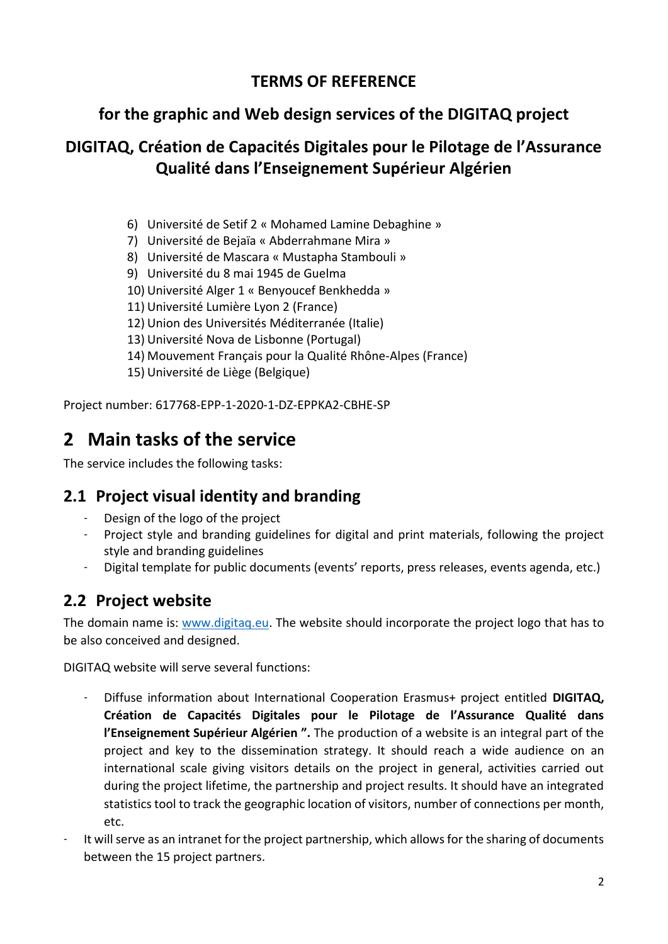## **for the graphic and Web design services of the DIGITAQ project**

## **DIGITAQ, Création de Capacités Digitales pour le Pilotage de l'Assurance Qualité dans l'Enseignement Supérieur Algérien**

- 6) Université de Setif 2 « Mohamed Lamine Debaghine »
- 7) Université de Bejaïa « Abderrahmane Mira »
- 8) Université de Mascara « Mustapha Stambouli »
- 9) Université du 8 mai 1945 de Guelma
- 10) Université Alger 1 « Benyoucef Benkhedda »
- 11) Université Lumière Lyon 2 (France)
- 12) Union des Universités Méditerranée (Italie)
- 13) Université Nova de Lisbonne (Portugal)
- 14) Mouvement Français pour la Qualité Rhône-Alpes (France)
- 15) Université de Liège (Belgique)

Project number: 617768-EPP-1-2020-1-DZ-EPPKA2-CBHE-SP

# **2 Main tasks of the service**

The service includes the following tasks:

#### **2.1 Project visual identity and branding**

- Design of the logo of the project
- Project style and branding guidelines for digital and print materials, following the project style and branding guidelines
- Digital template for public documents (events' reports, press releases, events agenda, etc.)

## **2.2 Project website**

The domain name is: [www.digitaq.eu.](http://www.digitaq.eu/) The website should incorporate the project logo that has to be also conceived and designed.

DIGITAQ website will serve several functions:

- Diffuse information about International Cooperation Erasmus+ project entitled **DIGITAQ, Création de Capacités Digitales pour le Pilotage de l'Assurance Qualité dans l'Enseignement Supérieur Algérien ".** The production of a website is an integral part of the project and key to the dissemination strategy. It should reach a wide audience on an international scale giving visitors details on the project in general, activities carried out during the project lifetime, the partnership and project results. It should have an integrated statistics tool to track the geographic location of visitors, number of connections per month, etc.
- It will serve as an intranet for the project partnership, which allows for the sharing of documents between the 15 project partners.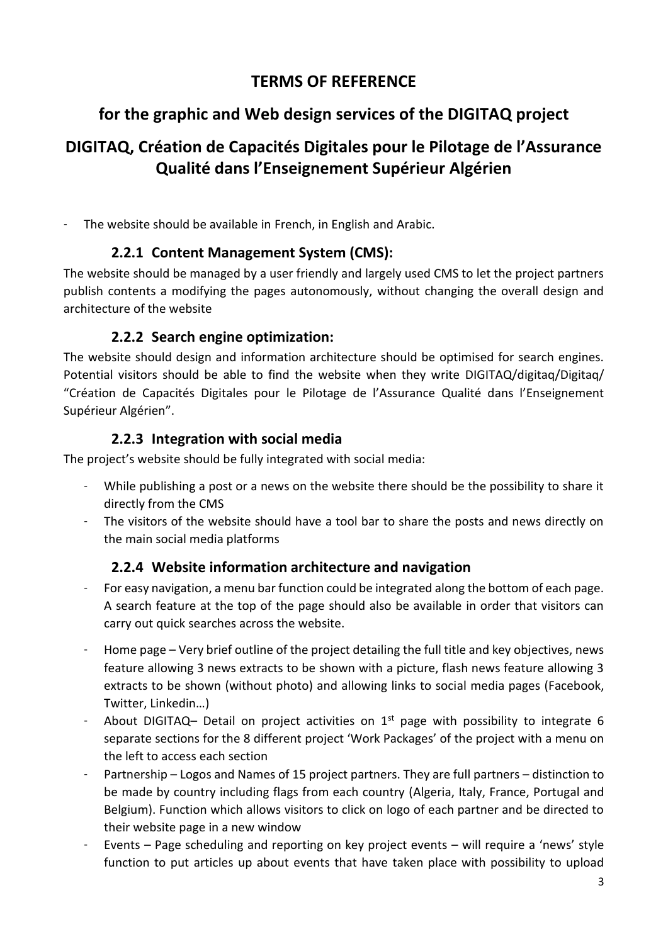## **for the graphic and Web design services of the DIGITAQ project**

## **DIGITAQ, Création de Capacités Digitales pour le Pilotage de l'Assurance Qualité dans l'Enseignement Supérieur Algérien**

- The website should be available in French, in English and Arabic.

#### **2.2.1 Content Management System (CMS):**

The website should be managed by a user friendly and largely used CMS to let the project partners publish contents a modifying the pages autonomously, without changing the overall design and architecture of the website

#### **2.2.2 Search engine optimization:**

The website should design and information architecture should be optimised for search engines. Potential visitors should be able to find the website when they write DIGITAQ/digitaq/Digitaq/ "Création de Capacités Digitales pour le Pilotage de l'Assurance Qualité dans l'Enseignement Supérieur Algérien".

#### **2.2.3 Integration with social media**

The project's website should be fully integrated with social media:

- While publishing a post or a news on the website there should be the possibility to share it directly from the CMS
- The visitors of the website should have a tool bar to share the posts and news directly on the main social media platforms

#### **2.2.4 Website information architecture and navigation**

- For easy navigation, a menu bar function could be integrated along the bottom of each page. A search feature at the top of the page should also be available in order that visitors can carry out quick searches across the website.
- Home page Very brief outline of the project detailing the full title and key objectives, news feature allowing 3 news extracts to be shown with a picture, flash news feature allowing 3 extracts to be shown (without photo) and allowing links to social media pages (Facebook, Twitter, Linkedin…)
- About DIGITAQ– Detail on project activities on  $1<sup>st</sup>$  page with possibility to integrate 6 separate sections for the 8 different project 'Work Packages' of the project with a menu on the left to access each section
- Partnership Logos and Names of 15 project partners. They are full partners distinction to be made by country including flags from each country (Algeria, Italy, France, Portugal and Belgium). Function which allows visitors to click on logo of each partner and be directed to their website page in a new window
- Events Page scheduling and reporting on key project events will require a 'news' style function to put articles up about events that have taken place with possibility to upload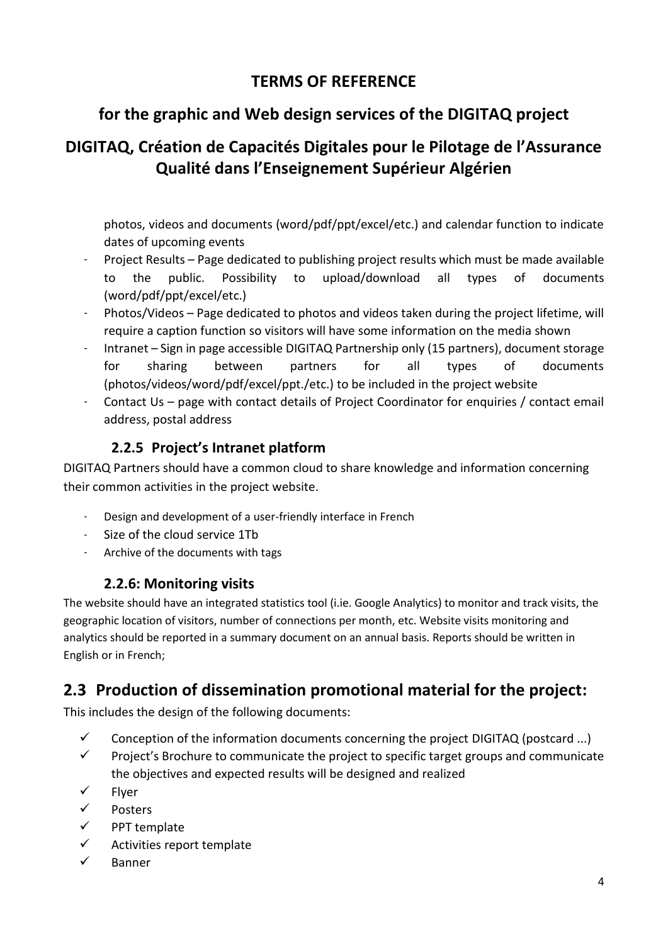## **for the graphic and Web design services of the DIGITAQ project**

## **DIGITAQ, Création de Capacités Digitales pour le Pilotage de l'Assurance Qualité dans l'Enseignement Supérieur Algérien**

photos, videos and documents (word/pdf/ppt/excel/etc.) and calendar function to indicate dates of upcoming events

- Project Results Page dedicated to publishing project results which must be made available to the public. Possibility to upload/download all types of documents (word/pdf/ppt/excel/etc.)
- Photos/Videos Page dedicated to photos and videos taken during the project lifetime, will require a caption function so visitors will have some information on the media shown
- Intranet Sign in page accessible DIGITAQ Partnership only (15 partners), document storage for sharing between partners for all types of documents (photos/videos/word/pdf/excel/ppt./etc.) to be included in the project website
- Contact Us page with contact details of Project Coordinator for enquiries / contact email address, postal address

#### **2.2.5 Project's Intranet platform**

DIGITAQ Partners should have a common cloud to share knowledge and information concerning their common activities in the project website.

- Design and development of a user-friendly interface in French
- Size of the cloud service 1Tb
- Archive of the documents with tags

#### **2.2.6: Monitoring visits**

The website should have an integrated statistics tool (i.ie. Google Analytics) to monitor and track visits, the geographic location of visitors, number of connections per month, etc. Website visits monitoring and analytics should be reported in a summary document on an annual basis. Reports should be written in English or in French;

## **2.3 Production of dissemination promotional material for the project:**

This includes the design of the following documents:

- $\checkmark$  Conception of the information documents concerning the project DIGITAQ (postcard ...)
- $\checkmark$  Project's Brochure to communicate the project to specific target groups and communicate the objectives and expected results will be designed and realized
- ✓ Flyer
- ✓ Posters
- ✓ PPT template
- $\checkmark$  Activities report template
- ✓ Banner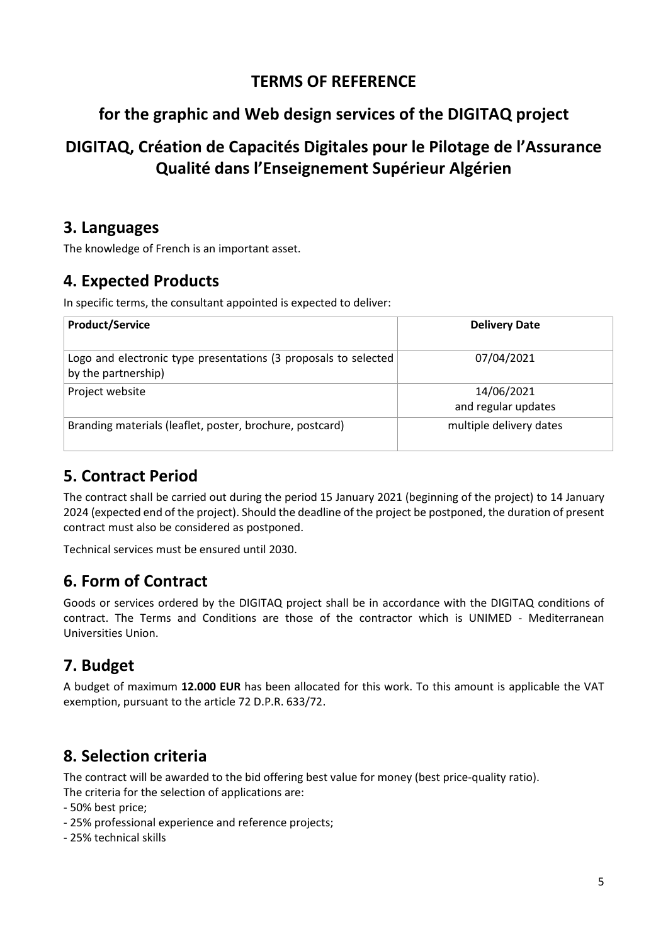### **for the graphic and Web design services of the DIGITAQ project**

## **DIGITAQ, Création de Capacités Digitales pour le Pilotage de l'Assurance Qualité dans l'Enseignement Supérieur Algérien**

#### **3. Languages**

The knowledge of French is an important asset.

#### **4. Expected Products**

In specific terms, the consultant appointed is expected to deliver:

| <b>Product/Service</b>                                                                 | <b>Delivery Date</b>              |
|----------------------------------------------------------------------------------------|-----------------------------------|
| Logo and electronic type presentations (3 proposals to selected<br>by the partnership) | 07/04/2021                        |
| Project website                                                                        | 14/06/2021<br>and regular updates |
| Branding materials (leaflet, poster, brochure, postcard)                               | multiple delivery dates           |

## **5. Contract Period**

The contract shall be carried out during the period 15 January 2021 (beginning of the project) to 14 January 2024 (expected end of the project). Should the deadline of the project be postponed, the duration of present contract must also be considered as postponed.

Technical services must be ensured until 2030.

## **6. Form of Contract**

Goods or services ordered by the DIGITAQ project shall be in accordance with the DIGITAQ conditions of contract. The Terms and Conditions are those of the contractor which is UNIMED - Mediterranean Universities Union.

## **7. Budget**

A budget of maximum **12.000 EUR** has been allocated for this work. To this amount is applicable the VAT exemption, pursuant to the article 72 D.P.R. 633/72.

#### **8. Selection criteria**

The contract will be awarded to the bid offering best value for money (best price-quality ratio). The criteria for the selection of applications are:

- 50% best price;
- 25% professional experience and reference projects;
- 25% technical skills